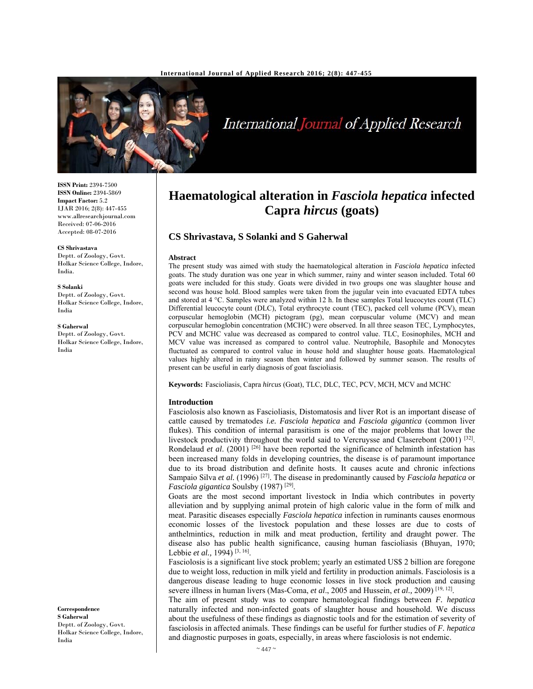

# International Journal of Applied Research

**ISSN Print:** 2394-7500 **ISSN Online:** 2394-5869 **Impact Factor:** 5.2 IJAR 2016; 2(8): 447-455 www.allresearchjournal.com Received: 07-06-2016 Accepted: 08-07-2016

**CS Shrivastava** 

Deptt. of Zoology, Govt. Holkar Science College, Indore, India.

**S Solanki** 

Deptt. of Zoology, Govt. Holkar Science College, Indore, India

**S Gaherwal** 

Deptt. of Zoology, Govt. Holkar Science College, Indore, India

**Haematological alteration in** *Fasciola hepatica* **infected Capra** *hircus* **(goats)** 

# **CS Shrivastava, S Solanki and S Gaherwal**

#### **Abstract**

The present study was aimed with study the haematological alteration in *Fasciola hepatica* infected goats. The study duration was one year in which summer, rainy and winter season included. Total 60 goats were included for this study. Goats were divided in two groups one was slaughter house and second was house hold. Blood samples were taken from the jugular vein into evacuated EDTA tubes and stored at 4 °C. Samples were analyzed within 12 h. In these samples Total leucocytes count (TLC) Differential leucocyte count (DLC), Total erythrocyte count (TEC), packed cell volume (PCV), mean corpuscular hemoglobin (MCH) pictogram (pg), mean corpuscular volume (MCV) and mean corpuscular hemoglobin concentration (MCHC) were observed. In all three season TEC, Lymphocytes, PCV and MCHC value was decreased as compared to control value. TLC, Eosinophiles, MCH and MCV value was increased as compared to control value. Neutrophile, Basophile and Monocytes fluctuated as compared to control value in house hold and slaughter house goats. Haematological values highly altered in rainy season then winter and followed by summer season. The results of present can be useful in early diagnosis of goat fascioliasis.

**Keywords:** Fascioliasis, Capra *hircus* (Goat), TLC, DLC, TEC, PCV, MCH, MCV and MCHC

#### **Introduction**

Fasciolosis also known as Fascioliasis, Distomatosis and liver Rot is an important disease of cattle caused by trematodes *i.e. Fasciola hepatica* and *Fasciola gigantica* (common liver flukes). This condition of internal parasitism is one of the major problems that lower the livestock productivity throughout the world said to Vercruysse and Claserebont (2001) [32]. Rondelaud *et al.* (2001)<sup>[26]</sup> have been reported the significance of helminth infestation has been increased many folds in developing countries, the disease is of paramount importance due to its broad distribution and definite hosts. It causes acute and chronic infections Sampaio Silva *et al.* (1996) [27]. The disease in predominantly caused by *Fasciola hepatica* or *Fasciola gigantica* Soulsby (1987) [29].

Goats are the most second important livestock in India which contributes in poverty alleviation and by supplying animal protein of high caloric value in the form of milk and meat. Parasitic diseases especially *Fasciola hepatica* infection in ruminants causes enormous economic losses of the livestock population and these losses are due to costs of anthelmintics, reduction in milk and meat production, fertility and draught power. The disease also has public health significance, causing human fascioliasis (Bhuyan, 1970; Lebbie *et al.,* 1994) [3, 16].

Fasciolosis is a significant live stock problem; yearly an estimated US\$ 2 billion are foregone due to weight loss, reduction in milk yield and fertility in production animals. Fasciolosis is a dangerous disease leading to huge economic losses in live stock production and causing severe illness in human livers (Mas-Coma, *et al*., 2005 and Hussein, *et al.,* 2009) [19, 12].

The aim of present study was to compare hematological findings between *F. hepatica* naturally infected and non-infected goats of slaughter house and household. We discuss about the usefulness of these findings as diagnostic tools and for the estimation of severity of fasciolosis in affected animals. These findings can be useful for further studies of *F. hepatica* and diagnostic purposes in goats, especially, in areas where fasciolosis is not endemic.

**Correspondence S Gaherwal**  Deptt. of Zoology, Govt. Holkar Science College, Indore, India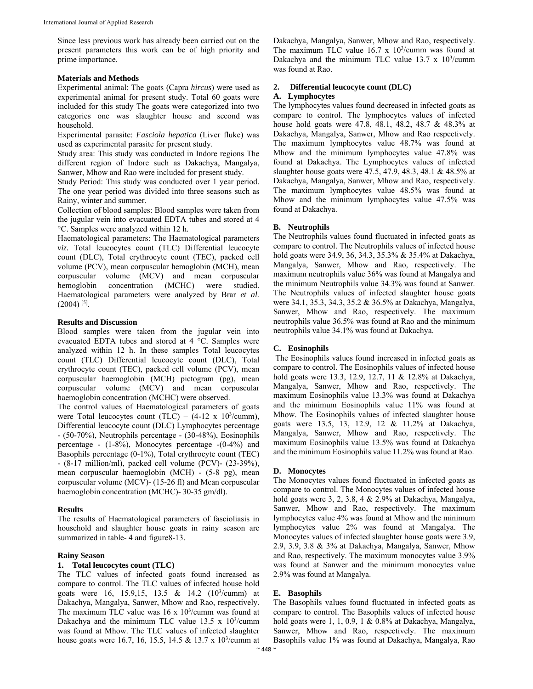Since less previous work has already been carried out on the present parameters this work can be of high priority and prime importance.

## **Materials and Methods**

Experimental animal: The goats (Capra *hircus*) were used as experimental animal for present study. Total 60 goats were included for this study The goats were categorized into two categories one was slaughter house and second was household.

Experimental parasite: *Fasciola hepatica* (Liver fluke) was used as experimental parasite for present study.

Study area: This study was conducted in Indore regions The different region of Indore such as Dakachya, Mangalya, Sanwer, Mhow and Rao were included for present study.

Study Period: This study was conducted over 1 year period. The one year period was divided into three seasons such as Rainy, winter and summer.

Collection of blood samples: Blood samples were taken from the jugular vein into evacuated EDTA tubes and stored at 4 °C. Samples were analyzed within 12 h.

Haematological parameters: The Haematological parameters *viz.* Total leucocytes count (TLC) Differential leucocyte count (DLC), Total erythrocyte count (TEC), packed cell volume (PCV), mean corpuscular hemoglobin (MCH), mean corpuscular volume (MCV) and mean corpuscular hemoglobin concentration (MCHC) were studied. Haematological parameters were analyzed by Brar *et al.*   $(2004)$ <sup>[5]</sup>.

#### **Results and Discussion**

Blood samples were taken from the jugular vein into evacuated EDTA tubes and stored at 4 °C. Samples were analyzed within 12 h. In these samples Total leucocytes count (TLC) Differential leucocyte count (DLC), Total erythrocyte count (TEC), packed cell volume (PCV), mean corpuscular haemoglobin (MCH) pictogram (pg), mean corpuscular volume (MCV) and mean corpuscular haemoglobin concentration (MCHC) were observed.

The control values of Haematological parameters of goats were Total leucocytes count (TLC) –  $(4-12 \times 10^3/\text{cumm})$ , Differential leucocyte count (DLC) Lymphocytes percentage - (50-70%), Neutrophils percentage - (30-48%), Eosinophils percentage - (1-8%), Monocytes percentage -(0-4%) and Basophils percentage (0-1%), Total erythrocyte count (TEC) - (8-17 million/ml), packed cell volume (PCV)- (23-39%), mean corpuscular haemoglobin (MCH) - (5-8 pg), mean corpuscular volume (MCV)- (15-26 fl) and Mean corpuscular haemoglobin concentration (MCHC)- 30-35 gm/dl).

#### **Results**

The results of Haematological parameters of fascioliasis in household and slaughter house goats in rainy season are summarized in table- 4 and figure8-13.

# **Rainy Season**

## **1. Total leucocytes count (TLC)**

The TLC values of infected goats found increased as compare to control. The TLC values of infected house hold goats were 16, 15.9,15, 13.5 & 14.2  $(10^3/\text{cum})$  at Dakachya, Mangalya, Sanwer, Mhow and Rao, respectively. The maximum TLC value was  $16 \times 10^{3}/\text{cum}$  was found at Dakachya and the minimum TLC value  $13.5 \times 10^{3}/\text{cum}$ was found at Mhow. The TLC values of infected slaughter house goats were 16.7, 16, 15.5, 14.5 & 13.7 x  $10^3$ /cumm at Dakachya, Mangalya, Sanwer, Mhow and Rao, respectively. The maximum TLC value  $16.7 \times 10^3$ /cumm was found at Dakachya and the minimum TLC value  $13.7 \times 10^3$ /cumm was found at Rao.

#### **2. Differential leucocyte count (DLC)**

#### **A. Lymphocytes**

The lymphocytes values found decreased in infected goats as compare to control. The lymphocytes values of infected house hold goats were 47.8, 48.1, 48.2, 48.7 & 48.3% at Dakachya, Mangalya, Sanwer, Mhow and Rao respectively. The maximum lymphocytes value 48.7% was found at Mhow and the minimum lymphocytes value 47.8% was found at Dakachya. The Lymphocytes values of infected slaughter house goats were 47.5, 47.9, 48.3, 48.1 & 48.5% at Dakachya, Mangalya, Sanwer, Mhow and Rao, respectively. The maximum lymphocytes value 48.5% was found at Mhow and the minimum lymphocytes value 47.5% was found at Dakachya.

## **B. Neutrophils**

The Neutrophils values found fluctuated in infected goats as compare to control. The Neutrophils values of infected house hold goats were 34.9, 36, 34.3, 35.3% & 35.4% at Dakachya, Mangalya, Sanwer, Mhow and Rao, respectively. The maximum neutrophils value 36% was found at Mangalya and the minimum Neutrophils value 34.3% was found at Sanwer. The Neutrophils values of infected slaughter house goats were 34.1, 35.3, 34.3, 35.2 & 36.5% at Dakachya, Mangalya, Sanwer, Mhow and Rao, respectively. The maximum neutrophils value 36.5% was found at Rao and the minimum neutrophils value 34.1% was found at Dakachya.

## **C. Eosinophils**

 The Eosinophils values found increased in infected goats as compare to control. The Eosinophils values of infected house hold goats were 13.3, 12.9, 12.7, 11 & 12.8% at Dakachya, Mangalya, Sanwer, Mhow and Rao, respectively. The maximum Eosinophils value 13.3% was found at Dakachya and the minimum Eosinophils value 11% was found at Mhow. The Eosinophils values of infected slaughter house goats were 13.5, 13, 12.9, 12 & 11.2% at Dakachya, Mangalya, Sanwer, Mhow and Rao, respectively. The maximum Eosinophils value 13.5% was found at Dakachya and the minimum Eosinophils value 11.2% was found at Rao.

#### **D. Monocytes**

The Monocytes values found fluctuated in infected goats as compare to control. The Monocytes values of infected house hold goats were 3, 2, 3.8, 4 & 2.9% at Dakachya, Mangalya, Sanwer, Mhow and Rao, respectively. The maximum lymphocytes value 4% was found at Mhow and the minimum lymphocytes value 2% was found at Mangalya. The Monocytes values of infected slaughter house goats were 3.9, 2.9, 3.9, 3.8 & 3% at Dakachya, Mangalya, Sanwer, Mhow and Rao, respectively. The maximum monocytes value 3.9% was found at Sanwer and the minimum monocytes value 2.9% was found at Mangalya.

## **E. Basophils**

The Basophils values found fluctuated in infected goats as compare to control. The Basophils values of infected house hold goats were 1, 1, 0.9, 1 & 0.8% at Dakachya, Mangalya, Sanwer, Mhow and Rao, respectively. The maximum Basophils value 1% was found at Dakachya, Mangalya, Rao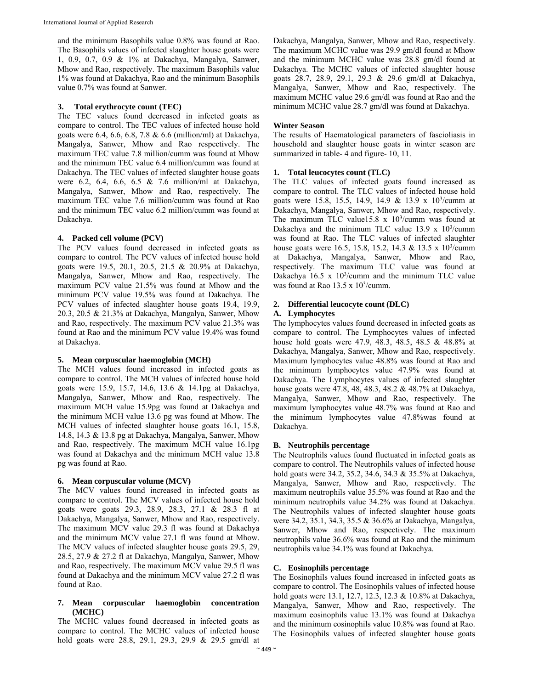and the minimum Basophils value 0.8% was found at Rao. The Basophils values of infected slaughter house goats were 1, 0.9, 0.7, 0.9 & 1% at Dakachya, Mangalya, Sanwer, Mhow and Rao, respectively. The maximum Basophils value 1% was found at Dakachya, Rao and the minimum Basophils value 0.7% was found at Sanwer.

#### **3. Total erythrocyte count (TEC)**

The TEC values found decreased in infected goats as compare to control. The TEC values of infected house hold goats were 6.4, 6.6, 6.8, 7.8 & 6.6 (million/ml) at Dakachya, Mangalya, Sanwer, Mhow and Rao respectively. The maximum TEC value 7.8 million/cumm was found at Mhow and the minimum TEC value 6.4 million/cumm was found at Dakachya. The TEC values of infected slaughter house goats were 6.2, 6.4, 6.6, 6.5 & 7.6 million/ml at Dakachya, Mangalya, Sanwer, Mhow and Rao, respectively. The maximum TEC value 7.6 million/cumm was found at Rao and the minimum TEC value 6.2 million/cumm was found at Dakachya.

## **4. Packed cell volume (PCV)**

The PCV values found decreased in infected goats as compare to control. The PCV values of infected house hold goats were 19.5, 20.1, 20.5, 21.5 & 20.9% at Dakachya, Mangalya, Sanwer, Mhow and Rao, respectively. The maximum PCV value 21.5% was found at Mhow and the minimum PCV value 19.5% was found at Dakachya. The PCV values of infected slaughter house goats 19.4, 19.9, 20.3, 20.5 & 21.3% at Dakachya, Mangalya, Sanwer, Mhow and Rao, respectively. The maximum PCV value 21.3% was found at Rao and the minimum PCV value 19.4% was found at Dakachya.

#### **5. Mean corpuscular haemoglobin (MCH)**

The MCH values found increased in infected goats as compare to control. The MCH values of infected house hold goats were 15.9, 15.7, 14.6, 13.6 & 14.1pg at Dakachya, Mangalya, Sanwer, Mhow and Rao, respectively. The maximum MCH value 15.9pg was found at Dakachya and the minimum MCH value 13.6 pg was found at Mhow. The MCH values of infected slaughter house goats 16.1, 15.8, 14.8, 14.3 & 13.8 pg at Dakachya, Mangalya, Sanwer, Mhow and Rao, respectively. The maximum MCH value 16.1pg was found at Dakachya and the minimum MCH value 13.8 pg was found at Rao.

#### **6. Mean corpuscular volume (MCV)**

The MCV values found increased in infected goats as compare to control. The MCV values of infected house hold goats were goats 29.3, 28.9, 28.3, 27.1 & 28.3 fl at Dakachya, Mangalya, Sanwer, Mhow and Rao, respectively. The maximum MCV value 29.3 fl was found at Dakachya and the minimum MCV value 27.1 fl was found at Mhow. The MCV values of infected slaughter house goats 29.5, 29, 28.5, 27.9 & 27.2 fl at Dakachya, Mangalya, Sanwer, Mhow and Rao, respectively. The maximum MCV value 29.5 fl was found at Dakachya and the minimum MCV value 27.2 fl was found at Rao.

### **7. Mean corpuscular haemoglobin concentration (MCHC)**

The MCHC values found decreased in infected goats as compare to control. The MCHC values of infected house hold goats were 28.8, 29.1, 29.3, 29.9 & 29.5 gm/dl at Dakachya, Mangalya, Sanwer, Mhow and Rao, respectively. The maximum MCHC value was 29.9 gm/dl found at Mhow and the minimum MCHC value was 28.8 gm/dl found at Dakachya. The MCHC values of infected slaughter house goats 28.7, 28.9, 29.1, 29.3 & 29.6 gm/dl at Dakachya, Mangalya, Sanwer, Mhow and Rao, respectively. The maximum MCHC value 29.6 gm/dl was found at Rao and the minimum MCHC value 28.7 gm/dl was found at Dakachya.

#### **Winter Season**

The results of Haematological parameters of fascioliasis in household and slaughter house goats in winter season are summarized in table- 4 and figure- 10, 11.

#### **1. Total leucocytes count (TLC)**

The TLC values of infected goats found increased as compare to control. The TLC values of infected house hold goats were 15.8, 15.5, 14.9, 14.9 & 13.9 x 10<sup>3</sup>/cumm at Dakachya, Mangalya, Sanwer, Mhow and Rao, respectively. The maximum TLC value15.8  $\times$  10<sup>3</sup>/cumm was found at Dakachya and the minimum TLC value  $13.9 \times 10^3$ /cumm was found at Rao. The TLC values of infected slaughter house goats were 16.5, 15.8, 15.2, 14.3 & 13.5 x  $10^3$ /cumm at Dakachya, Mangalya, Sanwer, Mhow and Rao, respectively. The maximum TLC value was found at Dakachya  $16.5 \times 10^3$ /cumm and the minimum TLC value was found at Rao  $13.5 \times 10^3$ /cumm.

## **2. Differential leucocyte count (DLC)**

#### **A. Lymphocytes**

The lymphocytes values found decreased in infected goats as compare to control. The Lymphocytes values of infected house hold goats were 47.9, 48.3, 48.5, 48.5 & 48.8% at Dakachya, Mangalya, Sanwer, Mhow and Rao, respectively. Maximum lymphocytes value 48.8% was found at Rao and the minimum lymphocytes value 47.9% was found at Dakachya. The Lymphocytes values of infected slaughter house goats were 47.8, 48, 48.3, 48.2 & 48.7% at Dakachya, Mangalya, Sanwer, Mhow and Rao, respectively. The maximum lymphocytes value 48.7% was found at Rao and the minimum lymphocytes value 47.8%was found at Dakachya.

#### **B. Neutrophils percentage**

The Neutrophils values found fluctuated in infected goats as compare to control. The Neutrophils values of infected house hold goats were 34.2, 35.2, 34.6, 34.3 & 35.5% at Dakachya, Mangalya, Sanwer, Mhow and Rao, respectively. The maximum neutrophils value 35.5% was found at Rao and the minimum neutrophils value 34.2% was found at Dakachya. The Neutrophils values of infected slaughter house goats were 34.2, 35.1, 34.3, 35.5 & 36.6% at Dakachya, Mangalya, Sanwer, Mhow and Rao, respectively. The maximum neutrophils value 36.6% was found at Rao and the minimum neutrophils value 34.1% was found at Dakachya.

## **C. Eosinophils percentage**

The Eosinophils values found increased in infected goats as compare to control. The Eosinophils values of infected house hold goats were 13.1, 12.7, 12.3, 12.3 & 10.8% at Dakachya, Mangalya, Sanwer, Mhow and Rao, respectively. The maximum eosinophils value 13.1% was found at Dakachya and the minimum eosinophils value 10.8% was found at Rao. The Eosinophils values of infected slaughter house goats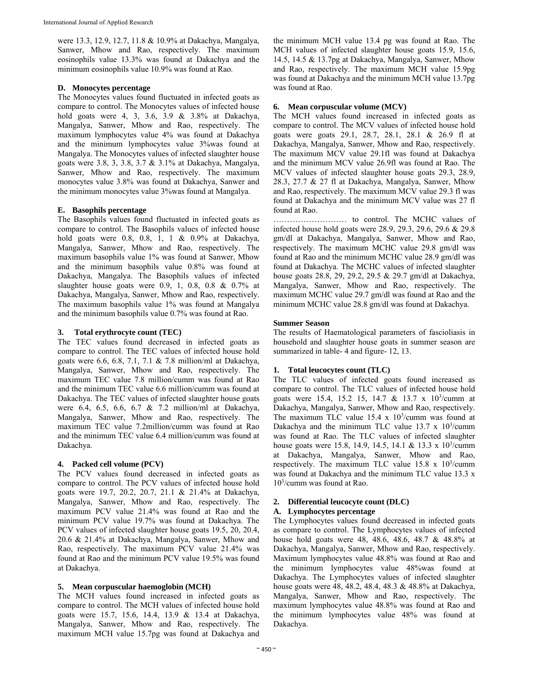were 13.3, 12.9, 12.7, 11.8 & 10.9% at Dakachya, Mangalya, Sanwer, Mhow and Rao, respectively. The maximum eosinophils value 13.3% was found at Dakachya and the minimum eosinophils value 10.9% was found at Rao.

## **D. Monocytes percentage**

The Monocytes values found fluctuated in infected goats as compare to control. The Monocytes values of infected house hold goats were 4, 3, 3.6, 3.9 & 3.8% at Dakachya, Mangalya, Sanwer, Mhow and Rao, respectively. The maximum lymphocytes value 4% was found at Dakachya and the minimum lymphocytes value 3%was found at Mangalya. The Monocytes values of infected slaughter house goats were 3.8, 3, 3.8, 3.7 & 3.1% at Dakachya, Mangalya, Sanwer, Mhow and Rao, respectively. The maximum monocytes value 3.8% was found at Dakachya, Sanwer and the minimum monocytes value 3%was found at Mangalya.

## **E. Basophils percentage**

The Basophils values found fluctuated in infected goats as compare to control. The Basophils values of infected house hold goats were 0.8, 0.8, 1, 1 & 0.9% at Dakachya, Mangalya, Sanwer, Mhow and Rao, respectively. The maximum basophils value 1% was found at Sanwer, Mhow and the minimum basophils value 0.8% was found at Dakachya, Mangalya. The Basophils values of infected slaughter house goats were 0.9, 1, 0.8, 0.8 & 0.7% at Dakachya, Mangalya, Sanwer, Mhow and Rao, respectively. The maximum basophils value 1% was found at Mangalya and the minimum basophils value 0.7% was found at Rao.

#### **3. Total erythrocyte count (TEC)**

The TEC values found decreased in infected goats as compare to control. The TEC values of infected house hold goats were 6.6, 6.8, 7.1, 7.1 & 7.8 million/ml at Dakachya, Mangalya, Sanwer, Mhow and Rao, respectively. The maximum TEC value 7.8 million/cumm was found at Rao and the minimum TEC value 6.6 million/cumm was found at Dakachya. The TEC values of infected slaughter house goats were 6.4, 6.5, 6.6, 6.7 & 7.2 million/ml at Dakachya, Mangalya, Sanwer, Mhow and Rao, respectively. The maximum TEC value 7.2million/cumm was found at Rao and the minimum TEC value 6.4 million/cumm was found at Dakachya.

#### **4. Packed cell volume (PCV)**

The PCV values found decreased in infected goats as compare to control. The PCV values of infected house hold goats were 19.7, 20.2, 20.7, 21.1 & 21.4% at Dakachya, Mangalya, Sanwer, Mhow and Rao, respectively. The maximum PCV value 21.4% was found at Rao and the minimum PCV value 19.7% was found at Dakachya. The PCV values of infected slaughter house goats 19.5, 20, 20.4, 20.6 & 21.4% at Dakachya, Mangalya, Sanwer, Mhow and Rao, respectively. The maximum PCV value 21.4% was found at Rao and the minimum PCV value 19.5% was found at Dakachya.

#### **5. Mean corpuscular haemoglobin (MCH)**

The MCH values found increased in infected goats as compare to control. The MCH values of infected house hold goats were 15.7, 15.6, 14.4, 13.9 & 13.4 at Dakachya, Mangalya, Sanwer, Mhow and Rao, respectively. The maximum MCH value 15.7pg was found at Dakachya and the minimum MCH value 13.4 pg was found at Rao. The MCH values of infected slaughter house goats 15.9, 15.6, 14.5, 14.5 & 13.7pg at Dakachya, Mangalya, Sanwer, Mhow and Rao, respectively. The maximum MCH value 15.9pg was found at Dakachya and the minimum MCH value 13.7pg was found at Rao.

#### **6. Mean corpuscular volume (MCV)**

The MCH values found increased in infected goats as compare to control. The MCV values of infected house hold goats were goats 29.1, 28.7, 28.1, 28.1 & 26.9 fl at Dakachya, Mangalya, Sanwer, Mhow and Rao, respectively. The maximum MCV value 29.1fl was found at Dakachya and the minimum MCV value 26.9fl was found at Rao. The MCV values of infected slaughter house goats 29.3, 28.9, 28.3, 27.7 & 27 fl at Dakachya, Mangalya, Sanwer, Mhow and Rao, respectively. The maximum MCV value 29.3 fl was found at Dakachya and the minimum MCV value was 27 fl found at Rao.

……………………… to control. The MCHC values of infected house hold goats were 28.9, 29.3, 29.6, 29.6 & 29.8 gm/dl at Dakachya, Mangalya, Sanwer, Mhow and Rao, respectively. The maximum MCHC value 29.8 gm/dl was found at Rao and the minimum MCHC value 28.9 gm/dl was found at Dakachya. The MCHC values of infected slaughter house goats 28.8, 29, 29.2, 29.5 & 29.7 gm/dl at Dakachya, Mangalya, Sanwer, Mhow and Rao, respectively. The maximum MCHC value 29.7 gm/dl was found at Rao and the minimum MCHC value 28.8 gm/dl was found at Dakachya.

#### **Summer Season**

The results of Haematological parameters of fascioliasis in household and slaughter house goats in summer season are summarized in table- 4 and figure- 12, 13.

#### **1. Total leucocytes count (TLC)**

The TLC values of infected goats found increased as compare to control. The TLC values of infected house hold goats were 15.4, 15.2 15, 14.7 & 13.7 x 10<sup>3</sup>/cumm at Dakachya, Mangalya, Sanwer, Mhow and Rao, respectively. The maximum TLC value  $15.4 \times 10^3$ /cumm was found at Dakachya and the minimum TLC value  $13.7 \times 10^3$ /cumm was found at Rao. The TLC values of infected slaughter house goats were 15.8, 14.9, 14.5, 14.1 & 13.3 x  $10^3$ /cumm at Dakachya, Mangalya, Sanwer, Mhow and Rao, respectively. The maximum TLC value  $15.8 \times 10^{3}/\text{cum}$ was found at Dakachya and the minimum TLC value 13.3 x 103 /cumm was found at Rao.

#### **2. Differential leucocyte count (DLC)**

#### **A. Lymphocytes percentage**

The Lymphocytes values found decreased in infected goats as compare to control. The Lymphocytes values of infected house hold goats were 48, 48.6, 48.6, 48.7 & 48.8% at Dakachya, Mangalya, Sanwer, Mhow and Rao, respectively. Maximum lymphocytes value 48.8% was found at Rao and the minimum lymphocytes value 48%was found at Dakachya. The Lymphocytes values of infected slaughter house goats were 48, 48.2, 48.4, 48.3 & 48.8% at Dakachya, Mangalya, Sanwer, Mhow and Rao, respectively. The maximum lymphocytes value 48.8% was found at Rao and the minimum lymphocytes value 48% was found at Dakachya.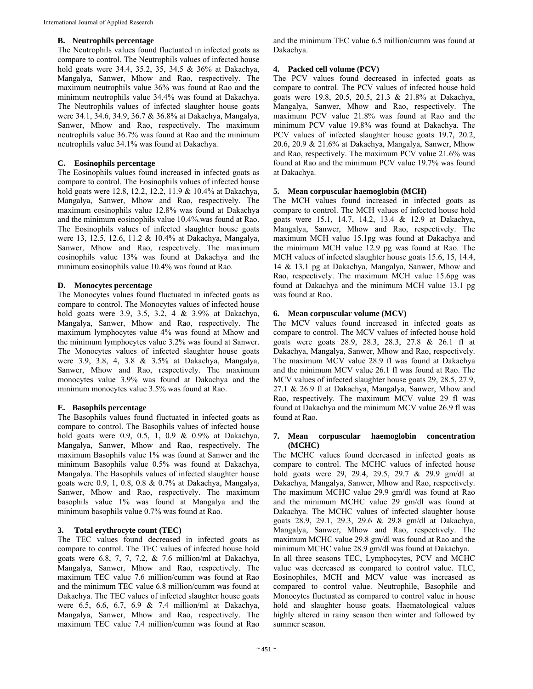## **B. Neutrophils percentage**

The Neutrophils values found fluctuated in infected goats as compare to control. The Neutrophils values of infected house hold goats were 34.4, 35.2, 35, 34.5 & 36% at Dakachya, Mangalya, Sanwer, Mhow and Rao, respectively. The maximum neutrophils value 36% was found at Rao and the minimum neutrophils value 34.4% was found at Dakachya. The Neutrophils values of infected slaughter house goats were 34.1, 34.6, 34.9, 36.7 & 36.8% at Dakachya, Mangalya, Sanwer, Mhow and Rao, respectively. The maximum neutrophils value 36.7% was found at Rao and the minimum neutrophils value 34.1% was found at Dakachya.

# **C. Eosinophils percentage**

The Eosinophils values found increased in infected goats as compare to control. The Eosinophils values of infected house hold goats were 12.8, 12.2, 12.2, 11.9 & 10.4% at Dakachya, Mangalya, Sanwer, Mhow and Rao, respectively. The maximum eosinophils value 12.8% was found at Dakachya and the minimum eosinophils value 10.4%.was found at Rao. The Eosinophils values of infected slaughter house goats were 13, 12.5, 12.6, 11.2 & 10.4% at Dakachya, Mangalya, Sanwer, Mhow and Rao, respectively. The maximum eosinophils value 13% was found at Dakachya and the minimum eosinophils value 10.4% was found at Rao.

# **D. Monocytes percentage**

The Monocytes values found fluctuated in infected goats as compare to control. The Monocytes values of infected house hold goats were 3.9, 3.5, 3.2, 4 & 3.9% at Dakachya, Mangalya, Sanwer, Mhow and Rao, respectively. The maximum lymphocytes value 4% was found at Mhow and the minimum lymphocytes value 3.2% was found at Sanwer. The Monocytes values of infected slaughter house goats were 3.9, 3.8, 4, 3.8 & 3.5% at Dakachya, Mangalya, Sanwer, Mhow and Rao, respectively. The maximum monocytes value 3.9% was found at Dakachya and the minimum monocytes value 3.5% was found at Rao.

# **E. Basophils percentage**

The Basophils values found fluctuated in infected goats as compare to control. The Basophils values of infected house hold goats were 0.9, 0.5, 1, 0.9 & 0.9% at Dakachya, Mangalya, Sanwer, Mhow and Rao, respectively. The maximum Basophils value 1% was found at Sanwer and the minimum Basophils value 0.5% was found at Dakachya, Mangalya. The Basophils values of infected slaughter house goats were 0.9, 1, 0.8, 0.8 & 0.7% at Dakachya, Mangalya, Sanwer, Mhow and Rao, respectively. The maximum basophils value 1% was found at Mangalya and the minimum basophils value 0.7% was found at Rao.

# **3. Total erythrocyte count (TEC)**

The TEC values found decreased in infected goats as compare to control. The TEC values of infected house hold goats were 6.8, 7, 7, 7.2, & 7.6 million/ml at Dakachya, Mangalya, Sanwer, Mhow and Rao, respectively. The maximum TEC value 7.6 million/cumm was found at Rao and the minimum TEC value 6.8 million/cumm was found at Dakachya. The TEC values of infected slaughter house goats were 6.5, 6.6, 6.7, 6.9 & 7.4 million/ml at Dakachya, Mangalya, Sanwer, Mhow and Rao, respectively. The maximum TEC value 7.4 million/cumm was found at Rao

and the minimum TEC value 6.5 million/cumm was found at Dakachya.

# **4. Packed cell volume (PCV)**

The PCV values found decreased in infected goats as compare to control. The PCV values of infected house hold goats were 19.8, 20.5, 20.5, 21.3 & 21.8% at Dakachya, Mangalya, Sanwer, Mhow and Rao, respectively. The maximum PCV value 21.8% was found at Rao and the minimum PCV value 19.8% was found at Dakachya. The PCV values of infected slaughter house goats 19.7, 20.2, 20.6, 20.9 & 21.6% at Dakachya, Mangalya, Sanwer, Mhow and Rao, respectively. The maximum PCV value 21.6% was found at Rao and the minimum PCV value 19.7% was found at Dakachya.

# **5. Mean corpuscular haemoglobin (MCH)**

The MCH values found increased in infected goats as compare to control. The MCH values of infected house hold goats were 15.1, 14.7, 14.2, 13.4 & 12.9 at Dakachya, Mangalya, Sanwer, Mhow and Rao, respectively. The maximum MCH value 15.1pg was found at Dakachya and the minimum MCH value 12.9 pg was found at Rao. The MCH values of infected slaughter house goats 15.6, 15, 14.4, 14 & 13.1 pg at Dakachya, Mangalya, Sanwer, Mhow and Rao, respectively. The maximum MCH value 15.6pg was found at Dakachya and the minimum MCH value 13.1 pg was found at Rao.

# **6. Mean corpuscular volume (MCV)**

The MCV values found increased in infected goats as compare to control. The MCV values of infected house hold goats were goats 28.9, 28.3, 28.3, 27.8 & 26.1 fl at Dakachya, Mangalya, Sanwer, Mhow and Rao, respectively. The maximum MCV value 28.9 fl was found at Dakachya and the minimum MCV value 26.1 fl was found at Rao. The MCV values of infected slaughter house goats 29, 28.5, 27.9, 27.1 & 26.9 fl at Dakachya, Mangalya, Sanwer, Mhow and Rao, respectively. The maximum MCV value 29 fl was found at Dakachya and the minimum MCV value 26.9 fl was found at Rao.

## **7. Mean corpuscular haemoglobin concentration (MCHC)**

The MCHC values found decreased in infected goats as compare to control. The MCHC values of infected house hold goats were 29, 29.4, 29.5, 29.7 & 29.9 gm/dl at Dakachya, Mangalya, Sanwer, Mhow and Rao, respectively. The maximum MCHC value 29.9 gm/dl was found at Rao and the minimum MCHC value 29 gm/dl was found at Dakachya. The MCHC values of infected slaughter house goats 28.9, 29.1, 29.3, 29.6 & 29.8 gm/dl at Dakachya, Mangalya, Sanwer, Mhow and Rao, respectively. The maximum MCHC value 29.8 gm/dl was found at Rao and the minimum MCHC value 28.9 gm/dl was found at Dakachya. In all three seasons TEC, Lymphocytes, PCV and MCHC value was decreased as compared to control value. TLC, Eosinophiles, MCH and MCV value was increased as compared to control value. Neutrophile, Basophile and Monocytes fluctuated as compared to control value in house hold and slaughter house goats. Haematological values highly altered in rainy season then winter and followed by summer season.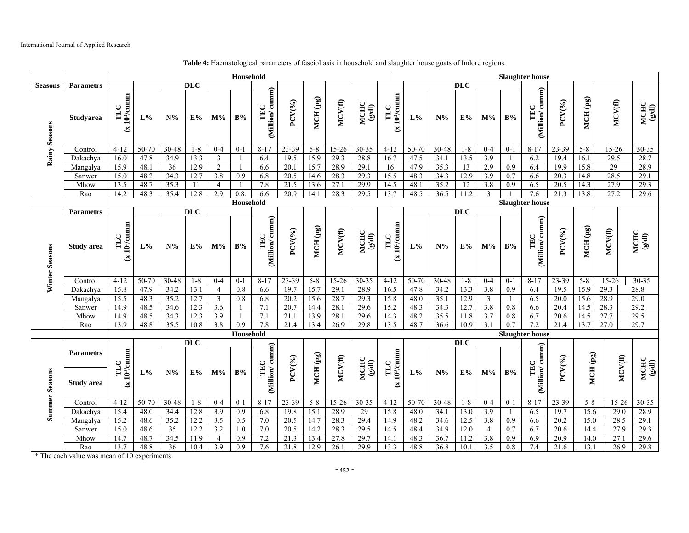|                |                                       | Household                                        |           |                 |            |                         |                  |                       |                        |          |           |                                                   |                                  | <b>Slaughter house</b> |         |                 |                         |                  |                       |           |          |            |                                                  |
|----------------|---------------------------------------|--------------------------------------------------|-----------|-----------------|------------|-------------------------|------------------|-----------------------|------------------------|----------|-----------|---------------------------------------------------|----------------------------------|------------------------|---------|-----------------|-------------------------|------------------|-----------------------|-----------|----------|------------|--------------------------------------------------|
| <b>Seasons</b> | <b>Parametrs</b>                      | <b>DLC</b>                                       |           |                 |            |                         |                  |                       |                        |          |           |                                                   |                                  |                        |         | <b>DLC</b>      |                         |                  |                       |           |          |            |                                                  |
| Rainy Seasons  | <b>Studyarea</b>                      | $103/\text{cumm}$<br>TLC<br>$\tilde{\mathbf{x}}$ | $L\%$     | $N\%$           | E%         | $M\%$                   | B%               | (Million/cumm)<br>TEC | PCV(%)                 | MCH (pg) | MCV(fl)   | <b>MCHC</b><br>$(\mathbb{B}\mathrm{d}\mathrm{I})$ | (x 10 <sup>3</sup> /cumm)<br>TLC | $L\%$                  | $N\%$   | E%              | $M\%$                   | $\mathbf{B} \%$  | (Million/cumm)<br>TEC | $PCV(\%)$ | MCH (pg) | MCV(fl)    | $\frac{\text{MCHC}}{\text{(g/dl)}}$              |
|                | Control                               | $4 - 12$                                         | 50-70     | 30-48           | $1 - 8$    | $0 - 4$                 | $0 - 1$          | $8 - 17$              | 23-39                  | $5 - 8$  | 15-26     | $30 - 35$                                         | $4 - 12$                         | 50-70                  | 30-48   | $1 - 8$         | $0 - 4$                 | $0 - 1$          | $8 - 17$              | 23-39     | $5 - 8$  | 15-26      | $30 - 35$                                        |
|                | Dakachya                              | 16.0                                             | 47.8      | 34.9            | 13.3       | $\overline{\mathbf{3}}$ |                  | 6.4                   | 19.5                   | 15.9     | 29.3      | 28.8                                              | 16.7                             | 47.5                   | 34.1    | 13.5            | 3.9                     |                  | 6.2                   | 19.4      | 16.1     | 29.5       | 28.7                                             |
|                | Mangalya                              | 15.9                                             | 48.1      | 36              | 12.9       | $\overline{2}$          | $\mathbf{1}$     | 6.6                   | 20.1                   | 15.7     | 28.9      | 29.1                                              | 16                               | 47.9                   | 35.3    | $\overline{13}$ | 2.9                     | $\overline{0.9}$ | 6.4                   | 19.9      | 15.8     | 29         | 28.9                                             |
|                | Sanwer                                | 15.0                                             | 48.2      | 34.3            | 12.7       | 3.8                     | 0.9              | 6.8                   | 20.5                   | 14.6     | 28.3      | 29.3                                              | 15.5                             | 48.3                   | 34.3    | 12.9            | 3.9                     | 0.7              | 6.6                   | 20.3      | 14.8     | 28.5       | 29.1                                             |
|                | Mhow                                  | 13.5                                             | 48.7      | 35.3            | 11         | $\overline{4}$          |                  | 7.8                   | 21.5                   | 13.6     | 27.1      | 29.9                                              | 14.5                             | 48.1                   | 35.2    | $\overline{12}$ | 3.8                     | 0.9              | 6.5                   | 20.5      | 14.3     | 27.9       | 29.3                                             |
|                | Rao                                   | 14.2                                             | 48.3      | 35.4            | 12.8       | 2.9                     | 0.8.             | 6.6                   | 20.9                   | 14.1     | 28.3      | 29.5                                              | 13.7                             | 48.5                   | 36.5    | 11.2            | 3                       |                  | 7.6                   | 21.3      | 13.8     | 27.2       | 29.6                                             |
|                |                                       | Household                                        |           |                 |            |                         |                  |                       |                        |          |           |                                                   |                                  | <b>Slaughter house</b> |         |                 |                         |                  |                       |           |          |            |                                                  |
| Winter Seasons | <b>Parametrs</b>                      | <b>DLC</b>                                       |           |                 |            |                         |                  |                       |                        |          |           |                                                   |                                  | <b>DLC</b>             |         |                 |                         |                  |                       |           |          |            |                                                  |
|                | <b>Study area</b>                     | 10 <sup>3</sup> /cumm<br>TLC<br>브                | $L\%$     | $N\%$           | E%         | $M\%$                   | $\mathbf{B} \%$  | (Million/cumm)<br>TEC | $PCV(\%)$              | MCH (pg) | MCV(f)    | <b>MCHC</b><br>$(\mathbb{P}/\mathbb{S})$          | (x 10 <sup>3</sup> /cumm<br>TLC  | $L\%$                  | $N\%$   | E%              | $M\%$                   | $\mathbf{B} \%$  | (Million/cumm)<br>TEC | $PCV(\%)$ | MCH (pg) | $MCV$ (fl) | MCHC<br>$\left( \mathbb{D}^{\mathcal{B}}\right)$ |
|                | Control                               | $4 - 12$                                         | $50-70$   | $30 - 48$       | $1 - 8$    | $0 - 4$                 | $0 - 1$          | $8 - 17$              | 23-39                  | $5 - 8$  | $15 - 26$ | $30 - 35$                                         | $4 - 12$                         | 50-70                  | $30-48$ | $1 - 8$         | $0 - 4$                 | $0 - 1$          | $8 - 17$              | 23-39     | $5 - 8$  | $15 - 26$  | 30-35                                            |
|                | Dakachya                              | 15.8                                             | 47.9      | 34.2            | 13.1       | $\overline{4}$          | 0.8              | 6.6                   | 19.7                   | 15.7     | 29.1      | 28.9                                              | 16.5                             | 47.8                   | 34.2    | 13.3            | 3.8                     | 0.9              | 6.4                   | 19.5      | 15.9     | 29.3       | 28.8                                             |
|                | Mangalya                              | 15.5                                             | 48.3      | 35.2            | 12.7       | 3                       | 0.8              | 6.8                   | 20.2                   | 15.6     | 28.7      | 29.3                                              | 15.8                             | 48.0                   | 35.1    | 12.9            | $\overline{\mathbf{3}}$ |                  | 6.5                   | 20.0      | 15.6     | 28.9       | 29.0                                             |
|                | Sanwer                                | 14.9                                             | 48.5      | 34.6            | 12.3       | 3.6                     | -1               | 7.1                   | 20.7                   | 14.4     | 28.1      | 29.6                                              | 15.2                             | 48.3                   | 34.3    | 12.7            | 3.8                     | 0.8              | 6.6                   | 20.4      | 14.5     | 28.3       | 29.2                                             |
|                | Mhow                                  | 14.9                                             | 48.5      | 34.3            | 12.3       | 3.9                     |                  | 7.1                   | 21.1                   | 13.9     | 28.1      | 29.6                                              | 14.3                             | 48.2                   | 35.5    | 11.8            | 3.7                     | 0.8              | 6.7                   | 20.6      | 14.5     | 27.7       | 29.5                                             |
|                | Rao                                   | 13.9                                             | 48.8      | 35.5            | 10.8       | 3.8                     | 0.9              | 7.8                   | 21.4                   | 13.4     | 26.9      | 29.8                                              | 13.5                             | 48.7                   | 36.6    | 10.9            | $\overline{3.1}$        | 0.7              | 7.2                   | 21.4      | 13.7     | 27.0       | 29.7                                             |
|                |                                       |                                                  |           | Household       |            |                         |                  |                       | <b>Slaughter house</b> |          |           |                                                   |                                  |                        |         |                 |                         |                  |                       |           |          |            |                                                  |
| Summer Seasons |                                       |                                                  |           |                 | <b>DLC</b> |                         |                  |                       |                        |          |           |                                                   |                                  | $\overline{DLC}$       |         |                 |                         |                  |                       |           |          |            |                                                  |
|                | <b>Parametrs</b><br><b>Study area</b> | $103/\text{cumm}$<br>TLC<br>$\tilde{\mathbf{x}}$ | $L\%$     | $N\%$           | E%         | $M\%$                   | B%               | (Million/cumm)<br>TEC | $PCV(\%)$              | MCH (pg) | MCV(fl)   | <b>MCHC</b><br>$(\mathbb{B}/\mathbb{B})$          | (x 10 <sup>3</sup> /cumm)<br>TLC | $L\%$                  | $N\%$   | $E\%$           | $M\%$                   | $\mathbf{B} \%$  | (Million/cumm)<br>TEC | PCV(%)    | MCH (pg) | MCV(fl)    | $\frac{\text{MCHC}}{\left(g'\text{dl}\right)}$   |
|                | Control                               | $4-12$                                           | $50 - 70$ | $30 - 48$       | $1 - 8$    | $0 - 4$                 | $0 - 1$          | $8-17$                | 23-39                  | $5 - 8$  | $15 - 26$ | $30 - 35$                                         | $4-12$                           | $50 - 70$              | $30-48$ | $1 - 8$         | $0 - 4$                 | $0 - 1$          | $8-17$                | $23 - 39$ | $5 - 8$  | $15 - 26$  | $30 - 35$                                        |
|                | Dakachya                              | 15.4                                             | 48.0      | 34.4            | 12.8       | $\overline{3.9}$        | 0.9              | 6.8                   | 19.8                   | 15.1     | 28.9      | 29                                                | 15.8                             | 48.0                   | 34.1    | 13.0            | $\overline{3.9}$        |                  | 6.5                   | 19.7      | 15.6     | 29.0       | 28.9                                             |
|                | Mangalya                              | 15.2                                             | 48.6      | 35.2            | 12.2       | 3.5                     | 0.5              | 7.0                   | 20.5                   | 14.7     | 28.3      | 29.4                                              | 14.9                             | 48.2                   | 34.6    | 12.5            | 3.8                     | 0.9              | 6.6                   | 20.2      | 15.0     | 28.5       | 29.1                                             |
|                | Sanwer                                | 15.0                                             | 48.6      | 35              | 12.2       | 3.2                     | 1.0              | 7.0                   | 20.5                   | 14.2     | 28.3      | 29.5                                              | 14.5                             | 48.4                   | 34.9    | 12.0            | $\overline{4}$          | 0.7              | 6.7                   | 20.6      | 14.4     | 27.9       | 29.3                                             |
|                | Mhow                                  | 14.7                                             | 48.7      | 34.5            | 11.9       | $\overline{4}$          | 0.9              | 7.2                   | 21.3                   | 13.4     | 27.8      | 29.7                                              | 14.1                             | 48.3                   | 36.7    | 11.2            | 3.8                     | 0.9              | 6.9                   | 20.9      | 14.0     | 27.1       | 29.6                                             |
|                | Rao                                   | 13.7                                             | 48.8      | $\overline{36}$ | 10.4       | 3.9                     | $\overline{0.9}$ | 7.6                   | 21.8                   | 12.9     | 26.1      | 29.9                                              | 13.3                             | 48.8                   | 36.8    | 10.1            | 3.5                     | 0.8              | 7.4                   | 21.6      | 13.1     | 26.9       | 29.8                                             |

**Table 4:** Haematological parameters of fascioliasis in household and slaughter house goats of Indore regions.

\* The each value was mean of 10 experiments.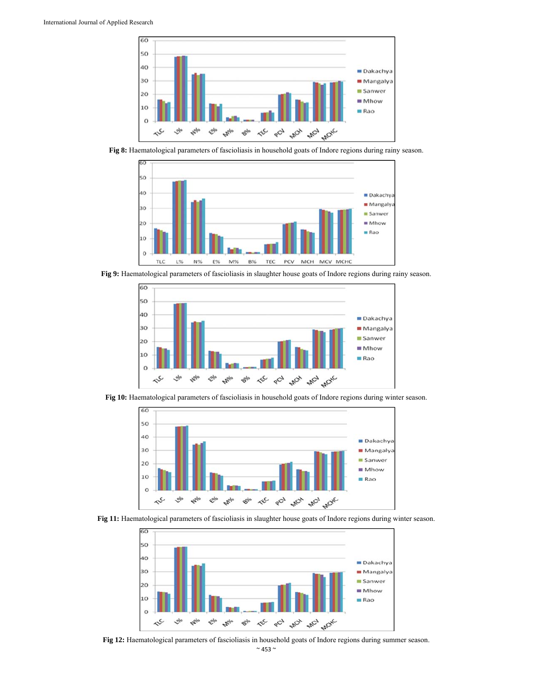

**Fig 8:** Haematological parameters of fascioliasis in household goats of Indore regions during rainy season.



**Fig 9:** Haematological parameters of fascioliasis in slaughter house goats of Indore regions during rainy season.



**Fig 10:** Haematological parameters of fascioliasis in household goats of Indore regions during winter season.







**Fig 12:** Haematological parameters of fascioliasis in household goats of Indore regions during summer season.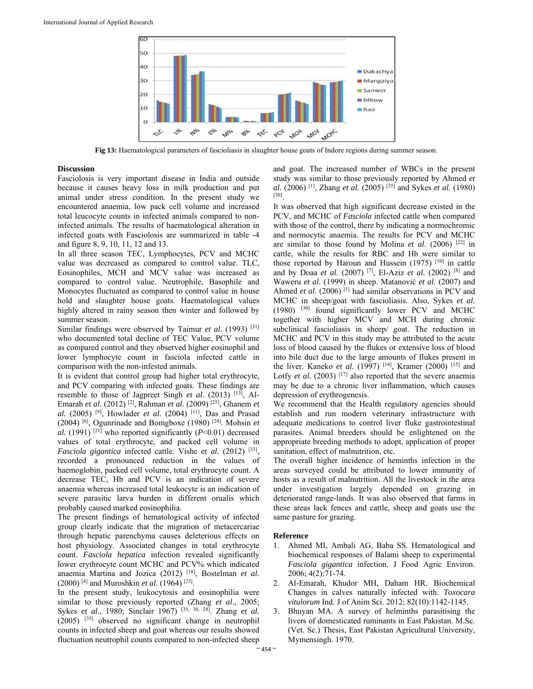

**Fig 13:** Haematological parameters of fascioliasis in slaughter house goats of Indore regions during summer season.

#### **Discussion**

Fasciolosis is very important disease in India and outside because it causes heavy loss in milk production and put animal under stress condition. In the present study we encountered anaemia, low pack cell volume and increased total leucocyte counts in infected animals compared to noninfected animals. The results of haematological alteration in infected goats with Fasciolosis are summarized in table -4 and figure 8, 9, 10, 11, 12 and 13.

In all three season TEC, Lymphocytes, PCV and MCHC value was decreased as compared to control value. TLC, Eosinophiles, MCH and MCV value was increased as compared to control value. Neutrophile, Basophile and Monocytes fluctuated as compared to control value in house hold and slaughter house goats. Haematological values highly altered in rainy season then winter and followed by summer season.

Similar findings were observed by Taimur et al. (1993)<sup>[31]</sup> who documented total decline of TEC Value, PCV volume as compared control and they observed higher eosinophil and lower lymphocyte count in fasciola infected cattle in comparison with the non-infested animals.

It is evident that control group had higher total erythrocyte, and PCV comparing with infected goats. These findings are resemble to those of Jagpreet Singh *et al.* (2013) <sup>[13]</sup>, Al-Emarah *et al.* (2012) [2], Rahman *et al.* (2009) [25], Ghanem *et al.* (2005) [9], Howlader *et al.* (2004) [11], Das and Prasad (2004) <sup>[6]</sup>, Ogunrinade and Bomgboxe (1980) <sup>[24]</sup>. Mohsin *et al.* (1991) <sup>[21]</sup> who reported significantly ( $P<0.01$ ) decreased values of total erythrocyte, and packed cell volume in *Fasciola gigantica* infected cattle. Vishe *et al.* (2012) <sup>[33]</sup>, recorded a pronounced reduction in the values of haemoglobin, packed cell volume, total erythrocyte count. A decrease TEC, Hb and PCV is an indication of severe anaemia whereas increased total leukocyte is an indication of severe parasitic larva burden in different orualis which probably caused marked eosinophilia.

The present findings of hematological activity of infected group clearly indicate that the migration of metacercariae through hepatic parenchyma causes deleterious effects on host physiology. Associated changes in total erythrocyte count. *Fasciola hepatica* infection revealed significantly lower erythrocyte count MCHC and PCV% which indicated anaemia Martina and Jozica (2012) [18], Bostelman *et al.*  (2000) [4] and Muroshkin *et al.* (1964) [23].

In the present study, leukocytosis and eosinophilia were similar to those previously reported (Zhang *et al*., 2005; Sykes *et al*., 1980; Sinclair 1967) [35, 30, 28]. Zhang *et al.* (2005) [35] observed no significant change in neutrophil counts in infected sheep and goat whereas our results showed fluctuation neutrophil counts compared to non-infected sheep

and goat. The increased number of WBCs in the present study was similar to those previously reported by Ahmed *et al.* (2006) [1], Zhang *et al.* (2005) [35] and Sykes *et al.* (1980) [30].

It was observed that high significant decrease existed in the PCV, and MCHC of *Fasciola* infected cattle when compared with those of the control, there by indicating a normochromic and normocytic anaemia. The results for PCV and MCHC are similar to those found by Molina *et al.* (2006) [22] in cattle, while the results for RBC and Hb were similar to those reported by Haroun and Hussein  $(1975)$ <sup>[10]</sup> in cattle and by Doaa *et al.* (2007) [7], El-Aziz *et al.* (2002) [8] and Waweru *et al.* (1999) in sheep. Matanović *et al.* (2007) and Ahmed *et al.* (2006)<sup>[1]</sup> had similar observations in PCV and MCHC in sheep/goat with fascioliasis. Also, Sykes *et al.*  $(1980)$   $[30]$  found significantly lower PCV and MCHC together with higher MCV and MCH during chronic subclinical fascioliasis in sheep/ goat. The reduction in MCHC and PCV in this study may be attributed to the acute loss of blood caused by the flukes or extensive loss of blood into bile duct due to the large amounts of flukes present in the liver. Kaneko *et al.* (1997)<sup>[14]</sup>, Kramer (2000)<sup>[15]</sup> and Lotfy *et al.* (2003)  $[17]$  also reported that the severe anaemia may be due to a chronic liver inflammation, which causes depression of erythrogenesis.

We recommend that the Health regulatory agencies should establish and run modern veterinary infrastructure with adequate medications to control liver fluke gastrointestinal parasites. Animal breeders should be enlightened on the appropriate breeding methods to adopt, application of proper sanitation, effect of malnutrition, etc.

The overall higher incidence of heminths infection in the areas surveyed could be attributed to lower immunity of hosts as a result of malnutrition. All the livestock in the area under investigation largely depended on grazing in deteriorated range-lands. It was also observed that farms in these areas lack fences and cattle, sheep and goats use the same pasture for grazing.

#### **Reference**

- 1. Ahmed MI, Ambali AG, Baba SS. Hematological and biochemical responses of Balami sheep to experimental *Fasciola gigantica* infection. J Food Agric Environ. 2006; 4(2):71-74.
- 2. Al-Emarah, Khudor MH, Daham HR. Biochemical Changes in calves naturally infected with. *Toxocara vitulorum* Ind. J of Anim Sci. 2012; 82(10):1142-1145.
- 3. Bhuyan MA. A survey of helminths parasitising the livers of domesticated ruminants in East Pakistan. M.Sc. (Vet. Sc.) Thesis, East Pakistan Agricultural University, Mymensingh. 1970.